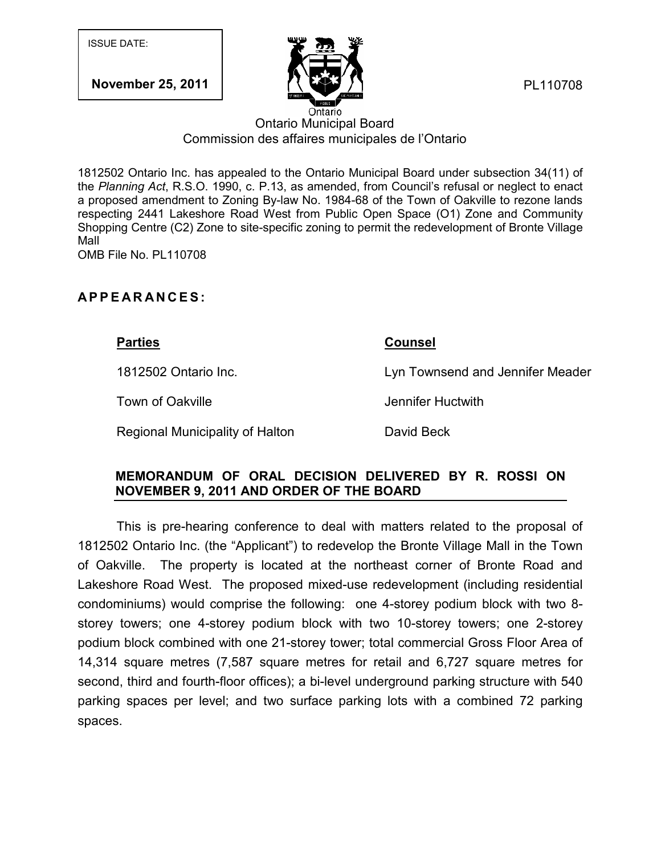**November 25, 2011** 



PL110708

## Ontario Municipal Board Commission des affaires municipales de l'Ontario

1812502 Ontario Inc. has appealed to the Ontario Municipal Board under subsection 34(11) of the *Planning Act*, R.S.O. 1990, c. P.13, as amended, from Council's refusal or neglect to enact a proposed amendment to Zoning By-law No. 1984-68 of the Town of Oakville to rezone lands respecting 2441 Lakeshore Road West from Public Open Space (O1) Zone and Community Shopping Centre (C2) Zone to site-specific zoning to permit the redevelopment of Bronte Village Mall Ontario<br>
Ontario Municipal Board<br>
Commission des affaires municipales de l'Ontario<br>
1812502 Ontario Inc. has appealed to the Ontario Municipal Board under<br>
the *Planning Act*, R.S.O. 1990, c. P.13, as amended, from Council

OMB File No. PL110708

## **Parties Counsel** 1812502 Ontario Inc. Lyn Townsend and Jennifer Meader

Town of Oakville **Town of Oakville** 

Regional Municipality of Halton **David Beck** 

## **MEMORANDUM OF ORAL DECISION DELIVERED BY R. ROSSI ON NOVEMBER 9, 2011 AND ORDER OF THE BOARD**

This is pre-hearing conference to deal with matters related to the proposal of 1812502 Ontario Inc. (the "Applicant") to redevelop the Bronte Village Mall in the Town of Oakville. The property is located at the northeast corner of Bronte Road and Lakeshore Road West. The proposed mixed-use redevelopment (including residential condominiums) would comprise the following: one 4-storey podium block with two 8 storey towers; one 4-storey podium block with two 10-storey towers; one 2-storey podium block combined with one 21-storey tower; total commercial Gross Floor Area of 14,314 square metres (7,587 square metres for retail and 6,727 square metres for second, third and fourth-floor offices); a bi-level underground parking structure with 540 parking spaces per level; and two surface parking lots with a combined 72 parking spaces.